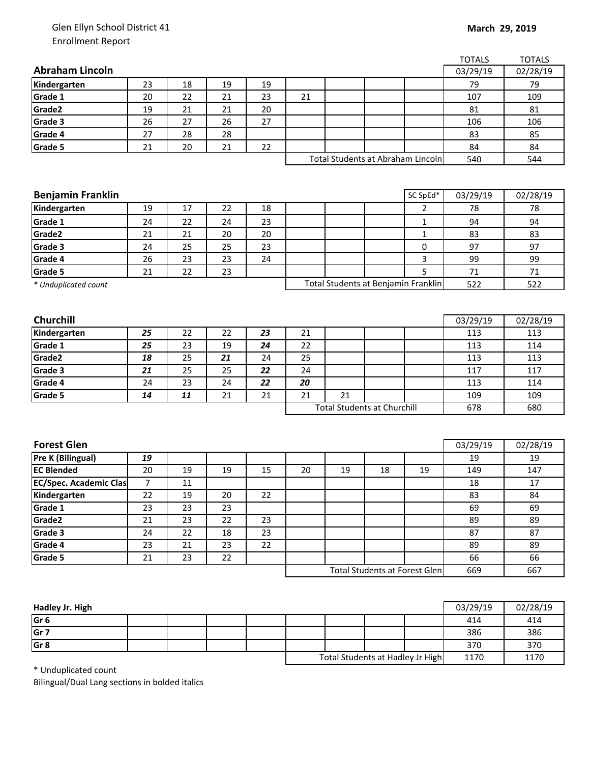## Glen Ellyn School District 41 Enrollment Report

|                                    |    |    |    |     |     |    |              |                                                                          | <b>TOTALS</b> |
|------------------------------------|----|----|----|-----|-----|----|--------------|--------------------------------------------------------------------------|---------------|
|                                    |    |    |    |     |     |    |              | 03/29/19                                                                 | 02/28/19      |
| 23                                 | 18 | 19 | 19 |     |     |    |              | 79                                                                       | 79            |
| 20                                 | 22 | 21 | 23 | 21  |     |    |              | 107                                                                      | 109           |
| 19                                 | 21 | 21 | 20 |     |     |    |              | 81                                                                       | 81            |
| 26                                 | 27 | 26 | 27 |     |     |    |              | 106                                                                      | 106           |
| 27                                 | 28 | 28 |    |     |     |    |              | 83                                                                       | 85            |
| 21                                 | 20 | 21 | 22 |     |     |    |              | 84                                                                       | 84            |
|                                    |    |    |    |     |     |    |              | 540                                                                      | 544           |
|                                    |    |    |    |     |     |    |              |                                                                          |               |
|                                    |    |    |    |     |     |    |              |                                                                          |               |
|                                    |    |    |    |     |     |    | SC SpEd*     | 03/29/19                                                                 | 02/28/19      |
| 19                                 | 17 | 22 | 18 |     |     |    | 2            | 78                                                                       | 78            |
| 24                                 | 22 | 24 | 23 |     |     |    | 1            | 94                                                                       | 94            |
| 21                                 | 21 | 20 | 20 |     |     |    | $\mathbf{1}$ | 83                                                                       | 83            |
| 24                                 | 25 | 25 | 23 |     |     |    | 0            | 97                                                                       | 97            |
| 26                                 | 23 | 23 | 24 |     |     |    | 3            | 99                                                                       | 99            |
| 21                                 | 22 | 23 |    |     |     |    | 5            | 71                                                                       | $71\,$        |
| Grade 5<br>* Unduplicated count    |    |    |    |     |     |    | 522          | 522                                                                      |               |
|                                    |    |    |    |     |     |    |              |                                                                          |               |
|                                    |    |    |    |     |     |    |              |                                                                          |               |
|                                    |    |    |    |     |     |    |              | 03/29/19                                                                 | 02/28/19      |
| 25                                 |    |    | 23 | 21  |     |    |              | 113                                                                      | 113           |
| 25                                 | 23 | 19 | 24 | 22  |     |    |              | 113                                                                      | 114           |
| 18                                 | 25 | 21 | 24 | 25  |     |    |              | 113                                                                      | 113           |
| 21                                 | 25 | 25 | 22 | 24  |     |    |              | 117                                                                      | 117           |
| 24                                 | 23 | 24 |    | 20  |     |    |              | 113                                                                      | 114           |
| 14                                 | 11 | 21 | 21 | 21  | 21  |    |              | 109                                                                      | 109           |
| <b>Total Students at Churchill</b> |    |    |    | 678 | 680 |    |              |                                                                          |               |
|                                    |    |    |    |     |     |    |              |                                                                          |               |
|                                    |    |    |    |     |     |    |              |                                                                          |               |
|                                    |    |    |    |     |     |    |              | 03/29/19                                                                 | 02/28/19      |
| 19                                 |    |    |    |     |     |    |              | 19                                                                       | 19            |
| 20                                 | 19 | 19 | 15 | 20  | 19  | 18 | 19           | 149                                                                      | 147           |
| 7                                  | 11 |    |    |     |     |    |              | 18                                                                       | 17            |
| 22                                 | 19 | 20 | 22 |     |     |    |              | 83                                                                       | 84            |
| 23                                 | 23 | 23 |    |     |     |    |              | 69                                                                       | 69            |
| 21                                 | 23 | 22 | 23 |     |     |    |              | 89                                                                       | 89            |
| 24                                 | 22 | 18 | 23 |     |     |    |              | 87                                                                       | 87            |
| 23                                 | 21 | 23 | 22 |     |     |    |              | 89                                                                       | 89            |
|                                    |    |    |    |     |     |    |              | 66                                                                       | 66            |
| 21                                 | 23 | 22 |    |     |     |    |              |                                                                          |               |
|                                    |    | 22 | 22 | 22  |     |    |              | Total Students at Abraham Lincoln<br>Total Students at Benjamin Franklin | <b>TOTALS</b> |

| Hadley Jr. High |  |  |                                  |  |      | 03/29/19 | 02/28/19 |
|-----------------|--|--|----------------------------------|--|------|----------|----------|
| Gr <sub>6</sub> |  |  |                                  |  |      | 414      | 414      |
| Gr <sub>7</sub> |  |  |                                  |  |      | 386      | 386      |
| Gr <sub>8</sub> |  |  |                                  |  |      | 370      | 370      |
|                 |  |  | Total Students at Hadley Jr High |  | 1170 | 1170     |          |

\* Unduplicated count

Bilingual/Dual Lang sections in bolded italics